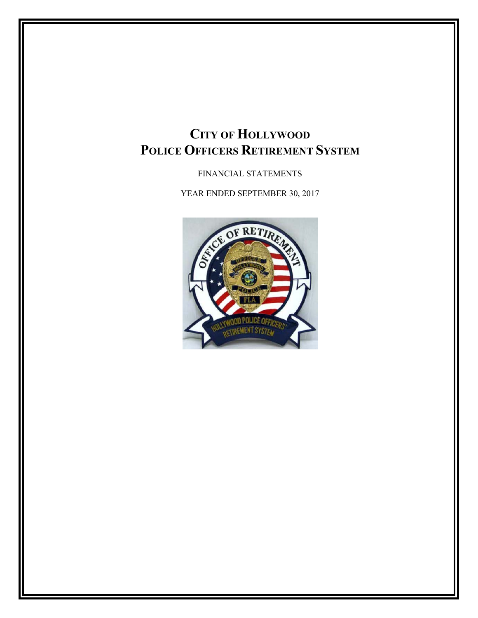FINANCIAL STATEMENTS

YEAR ENDED SEPTEMBER 30, 2017

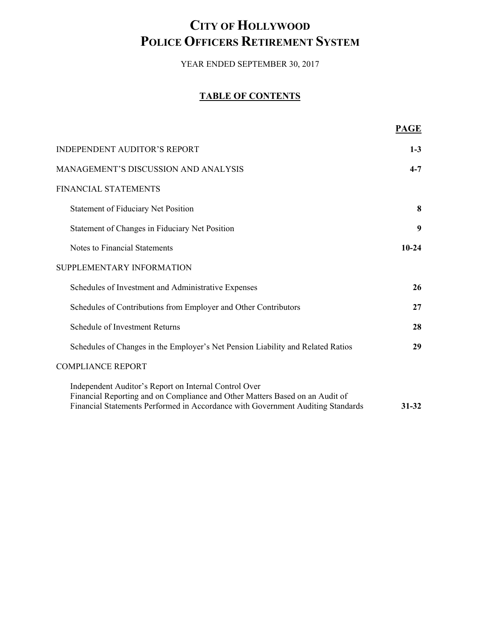YEAR ENDED SEPTEMBER 30, 2017

## **TABLE OF CONTENTS**

|                                                                                                                                                                                                                          | <b>PAGE</b> |
|--------------------------------------------------------------------------------------------------------------------------------------------------------------------------------------------------------------------------|-------------|
| <b>INDEPENDENT AUDITOR'S REPORT</b>                                                                                                                                                                                      | $1 - 3$     |
| MANAGEMENT'S DISCUSSION AND ANALYSIS                                                                                                                                                                                     | $4 - 7$     |
| <b>FINANCIAL STATEMENTS</b>                                                                                                                                                                                              |             |
| <b>Statement of Fiduciary Net Position</b>                                                                                                                                                                               | 8           |
| Statement of Changes in Fiduciary Net Position                                                                                                                                                                           | 9           |
| Notes to Financial Statements                                                                                                                                                                                            | $10 - 24$   |
| SUPPLEMENTARY INFORMATION                                                                                                                                                                                                |             |
| Schedules of Investment and Administrative Expenses                                                                                                                                                                      | 26          |
| Schedules of Contributions from Employer and Other Contributors                                                                                                                                                          | 27          |
| Schedule of Investment Returns                                                                                                                                                                                           | 28          |
| Schedules of Changes in the Employer's Net Pension Liability and Related Ratios                                                                                                                                          | 29          |
| <b>COMPLIANCE REPORT</b>                                                                                                                                                                                                 |             |
| Independent Auditor's Report on Internal Control Over<br>Financial Reporting and on Compliance and Other Matters Based on an Audit of<br>Financial Statements Performed in Accordance with Government Auditing Standards | $31 - 32$   |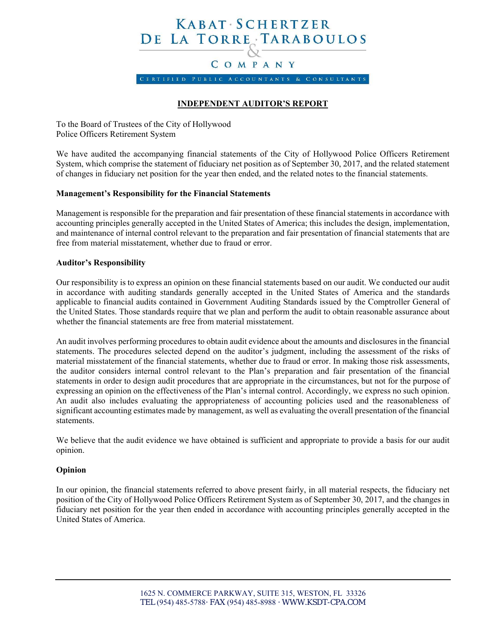# KABAT SCHERTZER DE LA TORRE TARABOULOS

## COMPANY

CERTIFIED PUBLIC ACCOUNTANTS & CONSULTANTS

## **INDEPENDENT AUDITOR'S REPORT**

To the Board of Trustees of the City of Hollywood Police Officers Retirement System

We have audited the accompanying financial statements of the City of Hollywood Police Officers Retirement System, which comprise the statement of fiduciary net position as of September 30, 2017, and the related statement of changes in fiduciary net position for the year then ended, and the related notes to the financial statements.

#### **Management's Responsibility for the Financial Statements**

Management is responsible for the preparation and fair presentation of these financial statements in accordance with accounting principles generally accepted in the United States of America; this includes the design, implementation, and maintenance of internal control relevant to the preparation and fair presentation of financial statements that are free from material misstatement, whether due to fraud or error.

#### **Auditor's Responsibility**

Our responsibility is to express an opinion on these financial statements based on our audit. We conducted our audit in accordance with auditing standards generally accepted in the United States of America and the standards applicable to financial audits contained in Government Auditing Standards issued by the Comptroller General of the United States. Those standards require that we plan and perform the audit to obtain reasonable assurance about whether the financial statements are free from material misstatement.

An audit involves performing procedures to obtain audit evidence about the amounts and disclosures in the financial statements. The procedures selected depend on the auditor's judgment, including the assessment of the risks of material misstatement of the financial statements, whether due to fraud or error. In making those risk assessments, the auditor considers internal control relevant to the Plan's preparation and fair presentation of the financial statements in order to design audit procedures that are appropriate in the circumstances, but not for the purpose of expressing an opinion on the effectiveness of the Plan's internal control. Accordingly, we express no such opinion. An audit also includes evaluating the appropriateness of accounting policies used and the reasonableness of significant accounting estimates made by management, as well as evaluating the overall presentation of the financial statements.

We believe that the audit evidence we have obtained is sufficient and appropriate to provide a basis for our audit opinion.

#### **Opinion**

In our opinion, the financial statements referred to above present fairly, in all material respects, the fiduciary net position of the City of Hollywood Police Officers Retirement System as of September 30, 2017, and the changes in fiduciary net position for the year then ended in accordance with accounting principles generally accepted in the United States of America.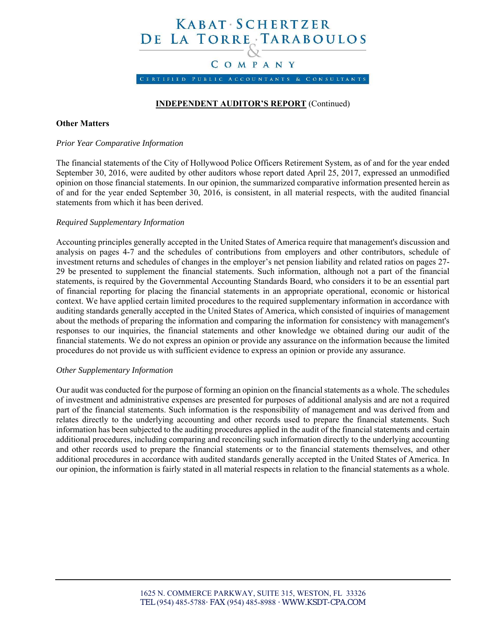# KABAT SCHERTZER DE LA TORRE TARABOULOS

## COMPANY

CERTIFIED PUBLIC ACCOUNTANTS & CONSULTANTS

### **INDEPENDENT AUDITOR'S REPORT** (Continued)

#### **Other Matters**

#### *Prior Year Comparative Information*

The financial statements of the City of Hollywood Police Officers Retirement System, as of and for the year ended September 30, 2016, were audited by other auditors whose report dated April 25, 2017, expressed an unmodified opinion on those financial statements. In our opinion, the summarized comparative information presented herein as of and for the year ended September 30, 2016, is consistent, in all material respects, with the audited financial statements from which it has been derived.

#### *Required Supplementary Information*

Accounting principles generally accepted in the United States of America require that management's discussion and analysis on pages 4-7 and the schedules of contributions from employers and other contributors, schedule of investment returns and schedules of changes in the employer's net pension liability and related ratios on pages 27- 29 be presented to supplement the financial statements. Such information, although not a part of the financial statements, is required by the Governmental Accounting Standards Board, who considers it to be an essential part of financial reporting for placing the financial statements in an appropriate operational, economic or historical context. We have applied certain limited procedures to the required supplementary information in accordance with auditing standards generally accepted in the United States of America, which consisted of inquiries of management about the methods of preparing the information and comparing the information for consistency with management's responses to our inquiries, the financial statements and other knowledge we obtained during our audit of the financial statements. We do not express an opinion or provide any assurance on the information because the limited procedures do not provide us with sufficient evidence to express an opinion or provide any assurance.

#### *Other Supplementary Information*

Our audit was conducted for the purpose of forming an opinion on the financial statements as a whole. The schedules of investment and administrative expenses are presented for purposes of additional analysis and are not a required part of the financial statements. Such information is the responsibility of management and was derived from and relates directly to the underlying accounting and other records used to prepare the financial statements. Such information has been subjected to the auditing procedures applied in the audit of the financial statements and certain additional procedures, including comparing and reconciling such information directly to the underlying accounting and other records used to prepare the financial statements or to the financial statements themselves, and other additional procedures in accordance with audited standards generally accepted in the United States of America. In our opinion, the information is fairly stated in all material respects in relation to the financial statements as a whole.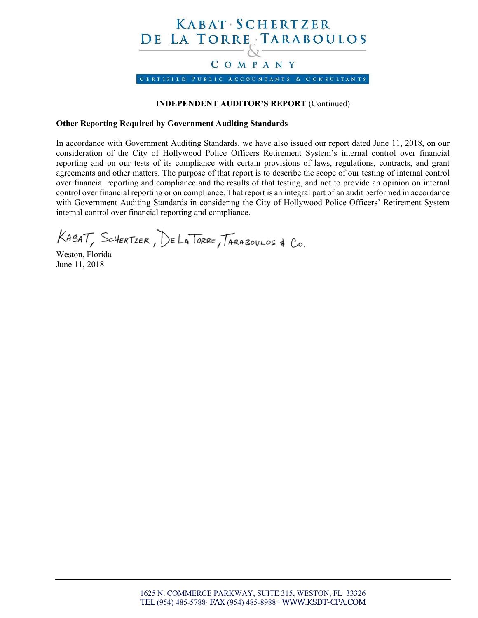

## **INDEPENDENT AUDITOR'S REPORT** (Continued)

#### **Other Reporting Required by Government Auditing Standards**

In accordance with Government Auditing Standards, we have also issued our report dated June 11, 2018, on our consideration of the City of Hollywood Police Officers Retirement System's internal control over financial reporting and on our tests of its compliance with certain provisions of laws, regulations, contracts, and grant agreements and other matters. The purpose of that report is to describe the scope of our testing of internal control over financial reporting and compliance and the results of that testing, and not to provide an opinion on internal control over financial reporting or on compliance. That report is an integral part of an audit performed in accordance with Government Auditing Standards in considering the City of Hollywood Police Officers' Retirement System internal control over financial reporting and compliance.

KABAT, SCHERTZER, DE LA TORRE, TARABOULOS & CO.

Weston, Florida June 11, 2018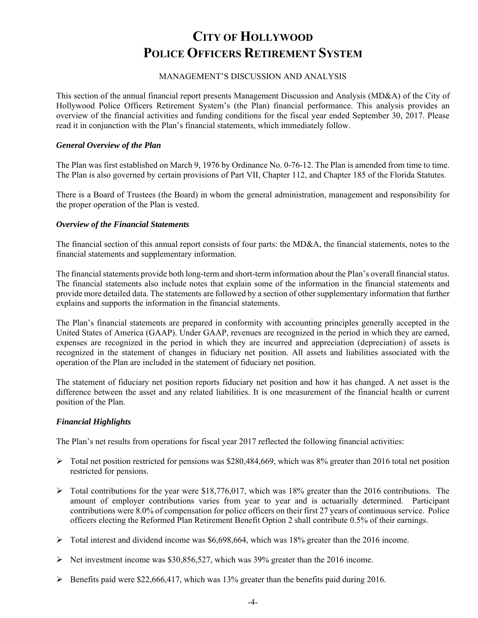#### MANAGEMENT'S DISCUSSION AND ANALYSIS

This section of the annual financial report presents Management Discussion and Analysis (MD&A) of the City of Hollywood Police Officers Retirement System's (the Plan) financial performance. This analysis provides an overview of the financial activities and funding conditions for the fiscal year ended September 30, 2017. Please read it in conjunction with the Plan's financial statements, which immediately follow.

#### *General Overview of the Plan*

The Plan was first established on March 9, 1976 by Ordinance No. 0-76-12. The Plan is amended from time to time. The Plan is also governed by certain provisions of Part VII, Chapter 112, and Chapter 185 of the Florida Statutes.

There is a Board of Trustees (the Board) in whom the general administration, management and responsibility for the proper operation of the Plan is vested.

#### *Overview of the Financial Statements*

The financial section of this annual report consists of four parts: the MD&A, the financial statements, notes to the financial statements and supplementary information.

The financial statements provide both long-term and short-term information about the Plan's overall financial status. The financial statements also include notes that explain some of the information in the financial statements and provide more detailed data. The statements are followed by a section of other supplementary information that further explains and supports the information in the financial statements.

The Plan's financial statements are prepared in conformity with accounting principles generally accepted in the United States of America (GAAP). Under GAAP, revenues are recognized in the period in which they are earned, expenses are recognized in the period in which they are incurred and appreciation (depreciation) of assets is recognized in the statement of changes in fiduciary net position. All assets and liabilities associated with the operation of the Plan are included in the statement of fiduciary net position.

The statement of fiduciary net position reports fiduciary net position and how it has changed. A net asset is the difference between the asset and any related liabilities. It is one measurement of the financial health or current position of the Plan.

#### *Financial Highlights*

The Plan's net results from operations for fiscal year 2017 reflected the following financial activities:

- $\triangleright$  Total net position restricted for pensions was \$280,484,669, which was 8% greater than 2016 total net position restricted for pensions.
- $\triangleright$  Total contributions for the year were \$18,776,017, which was 18% greater than the 2016 contributions. The amount of employer contributions varies from year to year and is actuarially determined. Participant contributions were 8.0% of compensation for police officers on their first 27 years of continuous service. Police officers electing the Reformed Plan Retirement Benefit Option 2 shall contribute 0.5% of their earnings.
- Total interest and dividend income was \$6,698,664, which was 18% greater than the 2016 income.
- Net investment income was \$30,856,527, which was 39% greater than the 2016 income.
- $\triangleright$  Benefits paid were \$22,666,417, which was 13% greater than the benefits paid during 2016.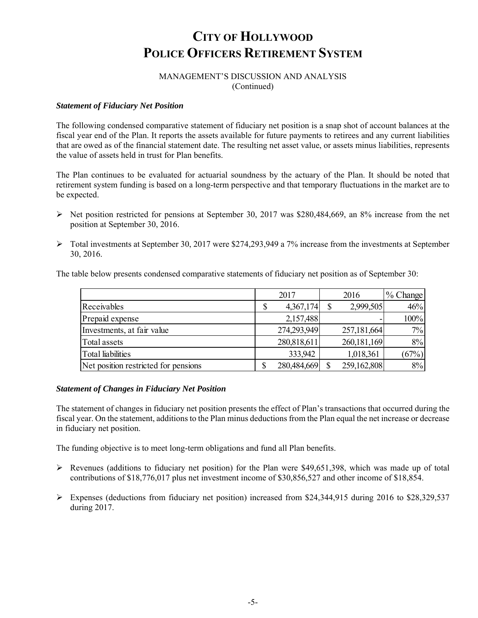### MANAGEMENT'S DISCUSSION AND ANALYSIS (Continued)

#### *Statement of Fiduciary Net Position*

The following condensed comparative statement of fiduciary net position is a snap shot of account balances at the fiscal year end of the Plan. It reports the assets available for future payments to retirees and any current liabilities that are owed as of the financial statement date. The resulting net asset value, or assets minus liabilities, represents the value of assets held in trust for Plan benefits.

The Plan continues to be evaluated for actuarial soundness by the actuary of the Plan. It should be noted that retirement system funding is based on a long-term perspective and that temporary fluctuations in the market are to be expected.

- $\triangleright$  Net position restricted for pensions at September 30, 2017 was \$280,484,669, an 8% increase from the net position at September 30, 2016.
- $\triangleright$  Total investments at September 30, 2017 were \$274,293,949 a 7% increase from the investments at September 30, 2016.

The table below presents condensed comparative statements of fiduciary net position as of September 30:

|                                      | 2017            | 2016          | 1% Change |
|--------------------------------------|-----------------|---------------|-----------|
| Receivables                          | \$<br>4,367,174 | 2,999,505     | 46%       |
| Prepaid expense                      | 2,157,488       |               | 100%      |
| Investments, at fair value           | 274,293,949     | 257,181,664   | 7%        |
| Total assets                         | 280,818,611     | 260, 181, 169 | 8%        |
| Total liabilities                    | 333,942         | 1,018,361     | (67%)     |
| Net position restricted for pensions | 280,484,669     | 259,162,808   | 8%        |

#### *Statement of Changes in Fiduciary Net Position*

The statement of changes in fiduciary net position presents the effect of Plan's transactions that occurred during the fiscal year. On the statement, additions to the Plan minus deductions from the Plan equal the net increase or decrease in fiduciary net position.

The funding objective is to meet long-term obligations and fund all Plan benefits.

- Revenues (additions to fiduciary net position) for the Plan were \$49,651,398, which was made up of total contributions of \$18,776,017 plus net investment income of \$30,856,527 and other income of \$18,854.
- Expenses (deductions from fiduciary net position) increased from \$24,344,915 during 2016 to \$28,329,537 during 2017.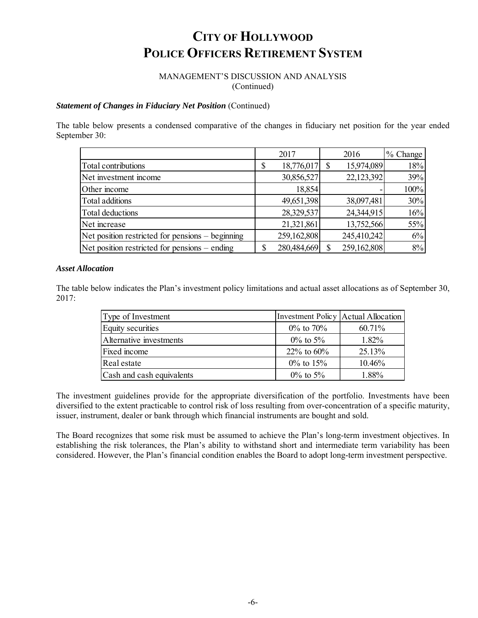#### MANAGEMENT'S DISCUSSION AND ANALYSIS (Continued)

#### **Statement of Changes in Fiduciary Net Position** (Continued)

The table below presents a condensed comparative of the changes in fiduciary net position for the year ended September 30:

|                                                  | 2017             |        | 2016        | % Change |
|--------------------------------------------------|------------------|--------|-------------|----------|
| Total contributions                              | 18,776,017<br>\$ |        | 15,974,089  | 18%      |
| Net investment income                            | 30,856,527       |        | 22,123,392  | 39%      |
| Other income                                     |                  | 18,854 |             | 100%     |
| Total additions                                  | 49,651,398       |        | 38,097,481  | 30%      |
| Total deductions                                 | 28,329,537       |        | 24,344,915  | 16%      |
| Net increase                                     | 21,321,861       |        | 13,752,566  | 55%      |
| Net position restricted for pensions – beginning | 259,162,808      |        | 245,410,242 | 6%       |
| Net position restricted for pensions – ending    | 280,484,669      |        | 259,162,808 | 8%       |

#### *Asset Allocation*

The table below indicates the Plan's investment policy limitations and actual asset allocations as of September 30, 2017:

| Type of Investment        | Investment Policy   Actual Allocation |           |
|---------------------------|---------------------------------------|-----------|
| Equity securities         | $0\%$ to $70\%$                       | $60.71\%$ |
| Alternative investments   | $0\%$ to 5%                           | $1.82\%$  |
| Fixed income              | $22\%$ to 60%                         | 25.13%    |
| Real estate               | $0\%$ to 15%                          | 10.46%    |
| Cash and cash equivalents | $0\%$ to 5%                           | 1.88%     |

The investment guidelines provide for the appropriate diversification of the portfolio. Investments have been diversified to the extent practicable to control risk of loss resulting from over-concentration of a specific maturity, issuer, instrument, dealer or bank through which financial instruments are bought and sold.

The Board recognizes that some risk must be assumed to achieve the Plan's long-term investment objectives. In establishing the risk tolerances, the Plan's ability to withstand short and intermediate term variability has been considered. However, the Plan's financial condition enables the Board to adopt long-term investment perspective.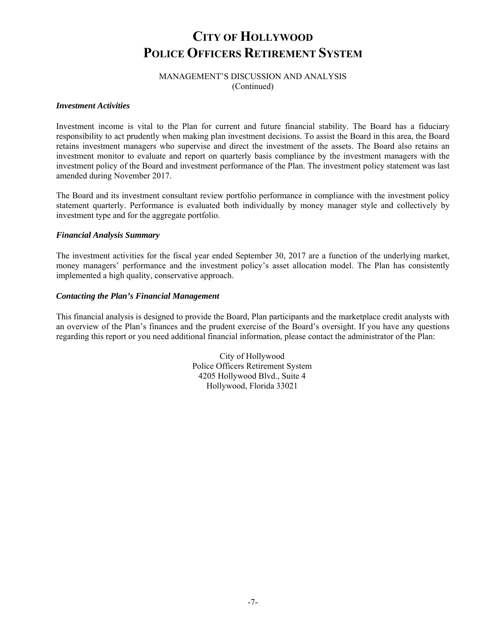### MANAGEMENT'S DISCUSSION AND ANALYSIS (Continued)

#### *Investment Activities*

Investment income is vital to the Plan for current and future financial stability. The Board has a fiduciary responsibility to act prudently when making plan investment decisions. To assist the Board in this area, the Board retains investment managers who supervise and direct the investment of the assets. The Board also retains an investment monitor to evaluate and report on quarterly basis compliance by the investment managers with the investment policy of the Board and investment performance of the Plan. The investment policy statement was last amended during November 2017.

The Board and its investment consultant review portfolio performance in compliance with the investment policy statement quarterly. Performance is evaluated both individually by money manager style and collectively by investment type and for the aggregate portfolio.

#### *Financial Analysis Summary*

The investment activities for the fiscal year ended September 30, 2017 are a function of the underlying market, money managers' performance and the investment policy's asset allocation model. The Plan has consistently implemented a high quality, conservative approach.

#### *Contacting the Plan's Financial Management*

This financial analysis is designed to provide the Board, Plan participants and the marketplace credit analysts with an overview of the Plan's finances and the prudent exercise of the Board's oversight. If you have any questions regarding this report or you need additional financial information, please contact the administrator of the Plan:

> City of Hollywood Police Officers Retirement System 4205 Hollywood Blvd., Suite 4 Hollywood, Florida 33021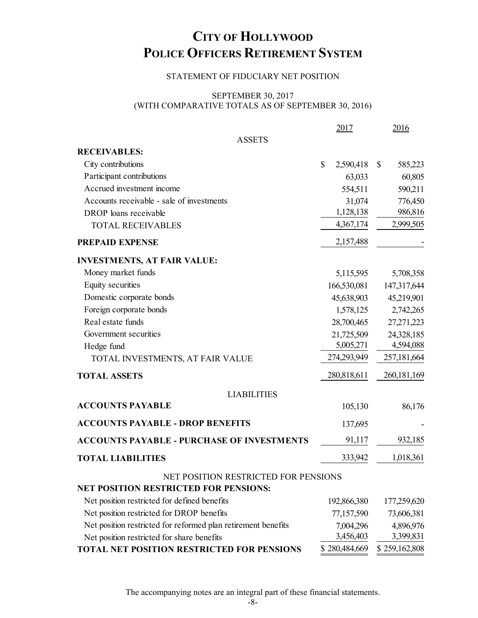### STATEMENT OF FIDUCIARY NET POSITION

### SEPTEMBER 30, 2017 (WITH COMPARATIVE TOTALS AS OF SEPTEMBER 30, 2016)

|                                                               | 2017            | 2016                    |
|---------------------------------------------------------------|-----------------|-------------------------|
| <b>ASSETS</b>                                                 |                 |                         |
| <b>RECEIVABLES:</b>                                           |                 |                         |
| City contributions                                            | \$<br>2,590,418 | $\mathbb{S}$<br>585,223 |
| Participant contributions                                     | 63,033          | 60,805                  |
| Accrued investment income                                     | 554,511         | 590,211                 |
| Accounts receivable - sale of investments                     | 31,074          | 776,450                 |
| DROP loans receivable                                         | 1,128,138       | 986,816                 |
| <b>TOTAL RECEIVABLES</b>                                      | 4,367,174       | 2,999,505               |
| PREPAID EXPENSE                                               | 2,157,488       |                         |
| <b>INVESTMENTS, AT FAIR VALUE:</b>                            |                 |                         |
| Money market funds                                            | 5,115,595       | 5,708,358               |
| Equity securities                                             | 166,530,081     | 147,317,644             |
| Domestic corporate bonds                                      | 45,638,903      | 45,219,901              |
| Foreign corporate bonds                                       | 1,578,125       | 2,742,265               |
| Real estate funds                                             | 28,700,465      | 27, 271, 223            |
| Government securities                                         | 21,725,509      | 24,328,185              |
| Hedge fund                                                    | 5,005,271       | 4,594,088               |
| TOTAL INVESTMENTS, AT FAIR VALUE                              | 274,293,949     | 257,181,664             |
| <b>TOTAL ASSETS</b>                                           | 280,818,611     | 260, 181, 169           |
| <b>LIABILITIES</b>                                            |                 |                         |
| <b>ACCOUNTS PAYABLE</b>                                       | 105,130         | 86,176                  |
| <b>ACCOUNTS PAYABLE - DROP BENEFITS</b>                       | 137,695         |                         |
| <b>ACCOUNTS PAYABLE - PURCHASE OF INVESTMENTS</b>             | 91,117          | 932,185                 |
| <b>TOTAL LIABILITIES</b>                                      | 333,942         | 1,018,361               |
| NET POSITION RESTRICTED FOR PENSIONS                          |                 |                         |
| <b>NET POSITION RESTRICTED FOR PENSIONS:</b>                  |                 |                         |
| Net position restricted for defined benefits                  | 192,866,380     | 177,259,620             |
| Net position restricted for DROP benefits                     | 77,157,590      | 73,606,381              |
| Net position restricted for reformed plan retirement benefits | 7,004,296       | 4,896,976               |
| Net position restricted for share benefits                    | 3,456,403       | 3,399,831               |
| <b>TOTAL NET POSITION RESTRICTED FOR PENSIONS</b>             | \$280,484,669   | \$259,162,808           |

The accompanying notes are an integral part of these financial statements.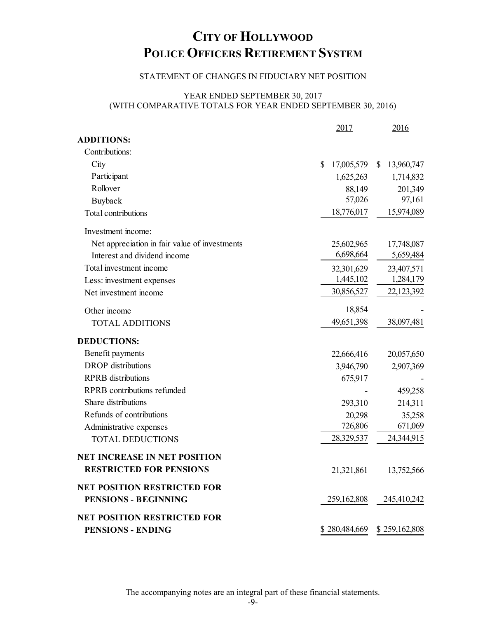## STATEMENT OF CHANGES IN FIDUCIARY NET POSITION

## YEAR ENDED SEPTEMBER 30, 2017 (WITH COMPARATIVE TOTALS FOR YEAR ENDED SEPTEMBER 30, 2016)

|                                               | 2017             | 2016                       |
|-----------------------------------------------|------------------|----------------------------|
| <b>ADDITIONS:</b>                             |                  |                            |
| Contributions:                                |                  |                            |
| City                                          | \$<br>17,005,579 | 13,960,747<br>$\mathbb{S}$ |
| Participant                                   | 1,625,263        | 1,714,832                  |
| Rollover                                      | 88,149           | 201,349                    |
| Buyback                                       | 57,026           | 97,161                     |
| Total contributions                           | 18,776,017       | 15,974,089                 |
| Investment income:                            |                  |                            |
| Net appreciation in fair value of investments | 25,602,965       | 17,748,087                 |
| Interest and dividend income                  | 6,698,664        | 5,659,484                  |
| Total investment income                       | 32,301,629       | 23,407,571                 |
| Less: investment expenses                     | 1,445,102        | 1,284,179                  |
| Net investment income                         | 30,856,527       | 22,123,392                 |
| Other income                                  | 18,854           |                            |
| <b>TOTAL ADDITIONS</b>                        | 49,651,398       | 38,097,481                 |
| <b>DEDUCTIONS:</b>                            |                  |                            |
| Benefit payments                              | 22,666,416       | 20,057,650                 |
| <b>DROP</b> distributions                     | 3,946,790        | 2,907,369                  |
| <b>RPRB</b> distributions                     | 675,917          |                            |
| RPRB contributions refunded                   |                  | 459,258                    |
| Share distributions                           | 293,310          | 214,311                    |
| Refunds of contributions                      | 20,298           | 35,258                     |
| Administrative expenses                       | 726,806          | 671,069                    |
| <b>TOTAL DEDUCTIONS</b>                       | 28,329,537       | 24,344,915                 |
| <b>NET INCREASE IN NET POSITION</b>           |                  |                            |
| <b>RESTRICTED FOR PENSIONS</b>                | 21,321,861       | 13,752,566                 |
| <b>NET POSITION RESTRICTED FOR</b>            |                  |                            |
| <b>PENSIONS - BEGINNING</b>                   | 259,162,808      | 245,410,242                |
| <b>NET POSITION RESTRICTED FOR</b>            |                  |                            |
| <b>PENSIONS - ENDING</b>                      | \$280,484,669    | \$259,162,808              |

The accompanying notes are an integral part of these financial statements.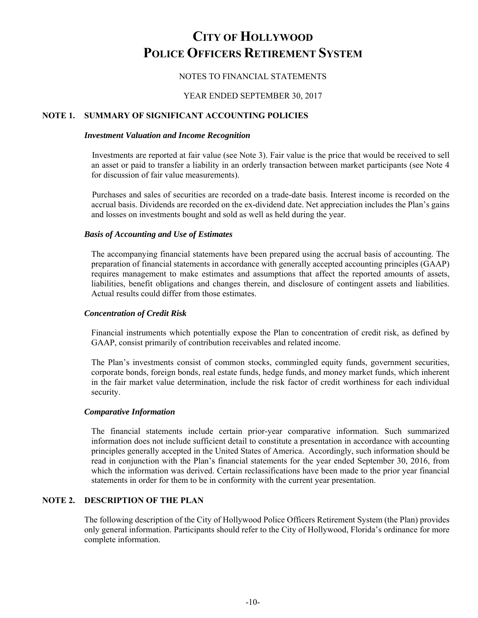### NOTES TO FINANCIAL STATEMENTS

#### YEAR ENDED SEPTEMBER 30, 2017

#### **NOTE 1. SUMMARY OF SIGNIFICANT ACCOUNTING POLICIES**

#### *Investment Valuation and Income Recognition*

Investments are reported at fair value (see Note 3). Fair value is the price that would be received to sell an asset or paid to transfer a liability in an orderly transaction between market participants (see Note 4 for discussion of fair value measurements).

Purchases and sales of securities are recorded on a trade-date basis. Interest income is recorded on the accrual basis. Dividends are recorded on the ex-dividend date. Net appreciation includes the Plan's gains and losses on investments bought and sold as well as held during the year.

#### *Basis of Accounting and Use of Estimates*

The accompanying financial statements have been prepared using the accrual basis of accounting. The preparation of financial statements in accordance with generally accepted accounting principles (GAAP) requires management to make estimates and assumptions that affect the reported amounts of assets, liabilities, benefit obligations and changes therein, and disclosure of contingent assets and liabilities. Actual results could differ from those estimates.

#### *Concentration of Credit Risk*

Financial instruments which potentially expose the Plan to concentration of credit risk, as defined by GAAP, consist primarily of contribution receivables and related income.

The Plan's investments consist of common stocks, commingled equity funds, government securities, corporate bonds, foreign bonds, real estate funds, hedge funds, and money market funds, which inherent in the fair market value determination, include the risk factor of credit worthiness for each individual security.

#### *Comparative Information*

The financial statements include certain prior-year comparative information. Such summarized information does not include sufficient detail to constitute a presentation in accordance with accounting principles generally accepted in the United States of America. Accordingly, such information should be read in conjunction with the Plan's financial statements for the year ended September 30, 2016, from which the information was derived. Certain reclassifications have been made to the prior year financial statements in order for them to be in conformity with the current year presentation.

#### **NOTE 2. DESCRIPTION OF THE PLAN**

The following description of the City of Hollywood Police Officers Retirement System (the Plan) provides only general information. Participants should refer to the City of Hollywood, Florida's ordinance for more complete information.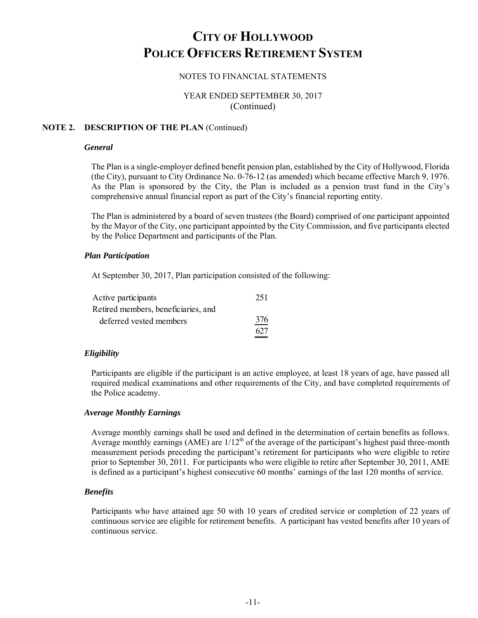### NOTES TO FINANCIAL STATEMENTS

### YEAR ENDED SEPTEMBER 30, 2017 (Continued)

#### **NOTE 2. DESCRIPTION OF THE PLAN** (Continued)

#### *General*

The Plan is a single-employer defined benefit pension plan, established by the City of Hollywood, Florida (the City), pursuant to City Ordinance No. 0-76-12 (as amended) which became effective March 9, 1976. As the Plan is sponsored by the City, the Plan is included as a pension trust fund in the City's comprehensive annual financial report as part of the City's financial reporting entity.

The Plan is administered by a board of seven trustees (the Board) comprised of one participant appointed by the Mayor of the City, one participant appointed by the City Commission, and five participants elected by the Police Department and participants of the Plan.

#### *Plan Participation*

At September 30, 2017, Plan participation consisted of the following:

| Active participants                 | 251 |
|-------------------------------------|-----|
| Retired members, beneficiaries, and |     |
| deferred vested members             | 376 |
|                                     | 627 |

#### *Eligibility*

Participants are eligible if the participant is an active employee, at least 18 years of age, have passed all required medical examinations and other requirements of the City, and have completed requirements of the Police academy.

#### *Average Monthly Earnings*

Average monthly earnings shall be used and defined in the determination of certain benefits as follows. Average monthly earnings (AME) are  $1/12<sup>th</sup>$  of the average of the participant's highest paid three-month measurement periods preceding the participant's retirement for participants who were eligible to retire prior to September 30, 2011. For participants who were eligible to retire after September 30, 2011, AME is defined as a participant's highest consecutive 60 months' earnings of the last 120 months of service.

#### *Benefits*

Participants who have attained age 50 with 10 years of credited service or completion of 22 years of continuous service are eligible for retirement benefits. A participant has vested benefits after 10 years of continuous service.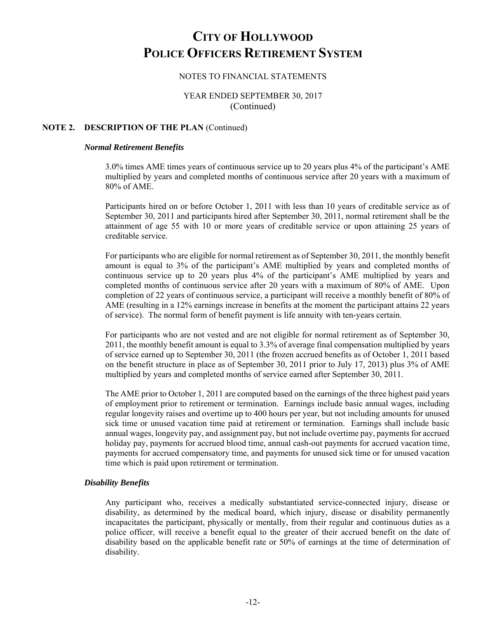#### NOTES TO FINANCIAL STATEMENTS

## YEAR ENDED SEPTEMBER 30, 2017 (Continued)

#### **NOTE 2. DESCRIPTION OF THE PLAN** (Continued)

#### *Normal Retirement Benefits*

3.0% times AME times years of continuous service up to 20 years plus 4% of the participant's AME multiplied by years and completed months of continuous service after 20 years with a maximum of 80% of AME.

Participants hired on or before October 1, 2011 with less than 10 years of creditable service as of September 30, 2011 and participants hired after September 30, 2011, normal retirement shall be the attainment of age 55 with 10 or more years of creditable service or upon attaining 25 years of creditable service.

For participants who are eligible for normal retirement as of September 30, 2011, the monthly benefit amount is equal to 3% of the participant's AME multiplied by years and completed months of continuous service up to 20 years plus 4% of the participant's AME multiplied by years and completed months of continuous service after 20 years with a maximum of 80% of AME. Upon completion of 22 years of continuous service, a participant will receive a monthly benefit of 80% of AME (resulting in a 12% earnings increase in benefits at the moment the participant attains 22 years of service). The normal form of benefit payment is life annuity with ten-years certain.

For participants who are not vested and are not eligible for normal retirement as of September 30, 2011, the monthly benefit amount is equal to 3.3% of average final compensation multiplied by years of service earned up to September 30, 2011 (the frozen accrued benefits as of October 1, 2011 based on the benefit structure in place as of September 30, 2011 prior to July 17, 2013) plus 3% of AME multiplied by years and completed months of service earned after September 30, 2011.

The AME prior to October 1, 2011 are computed based on the earnings of the three highest paid years of employment prior to retirement or termination. Earnings include basic annual wages, including regular longevity raises and overtime up to 400 hours per year, but not including amounts for unused sick time or unused vacation time paid at retirement or termination. Earnings shall include basic annual wages, longevity pay, and assignment pay, but not include overtime pay, payments for accrued holiday pay, payments for accrued blood time, annual cash-out payments for accrued vacation time, payments for accrued compensatory time, and payments for unused sick time or for unused vacation time which is paid upon retirement or termination.

#### *Disability Benefits*

Any participant who, receives a medically substantiated service-connected injury, disease or disability, as determined by the medical board, which injury, disease or disability permanently incapacitates the participant, physically or mentally, from their regular and continuous duties as a police officer, will receive a benefit equal to the greater of their accrued benefit on the date of disability based on the applicable benefit rate or 50% of earnings at the time of determination of disability.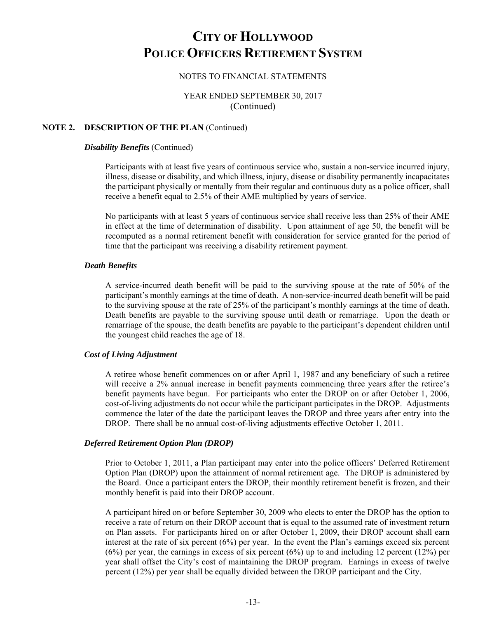#### NOTES TO FINANCIAL STATEMENTS

### YEAR ENDED SEPTEMBER 30, 2017 (Continued)

#### **NOTE 2. DESCRIPTION OF THE PLAN** (Continued)

#### *Disability Benefits* (Continued)

Participants with at least five years of continuous service who, sustain a non-service incurred injury, illness, disease or disability, and which illness, injury, disease or disability permanently incapacitates the participant physically or mentally from their regular and continuous duty as a police officer, shall receive a benefit equal to 2.5% of their AME multiplied by years of service.

No participants with at least 5 years of continuous service shall receive less than 25% of their AME in effect at the time of determination of disability. Upon attainment of age 50, the benefit will be recomputed as a normal retirement benefit with consideration for service granted for the period of time that the participant was receiving a disability retirement payment.

#### *Death Benefits*

A service-incurred death benefit will be paid to the surviving spouse at the rate of 50% of the participant's monthly earnings at the time of death. A non-service-incurred death benefit will be paid to the surviving spouse at the rate of 25% of the participant's monthly earnings at the time of death. Death benefits are payable to the surviving spouse until death or remarriage. Upon the death or remarriage of the spouse, the death benefits are payable to the participant's dependent children until the youngest child reaches the age of 18.

#### *Cost of Living Adjustment*

A retiree whose benefit commences on or after April 1, 1987 and any beneficiary of such a retiree will receive a 2% annual increase in benefit payments commencing three years after the retiree's benefit payments have begun. For participants who enter the DROP on or after October 1, 2006, cost-of-living adjustments do not occur while the participant participates in the DROP. Adjustments commence the later of the date the participant leaves the DROP and three years after entry into the DROP. There shall be no annual cost-of-living adjustments effective October 1, 2011.

#### *Deferred Retirement Option Plan (DROP)*

Prior to October 1, 2011, a Plan participant may enter into the police officers' Deferred Retirement Option Plan (DROP) upon the attainment of normal retirement age. The DROP is administered by the Board. Once a participant enters the DROP, their monthly retirement benefit is frozen, and their monthly benefit is paid into their DROP account.

A participant hired on or before September 30, 2009 who elects to enter the DROP has the option to receive a rate of return on their DROP account that is equal to the assumed rate of investment return on Plan assets. For participants hired on or after October 1, 2009, their DROP account shall earn interest at the rate of six percent (6%) per year. In the event the Plan's earnings exceed six percent  $(6%)$  per year, the earnings in excess of six percent  $(6%)$  up to and including 12 percent  $(12%)$  per year shall offset the City's cost of maintaining the DROP program. Earnings in excess of twelve percent (12%) per year shall be equally divided between the DROP participant and the City.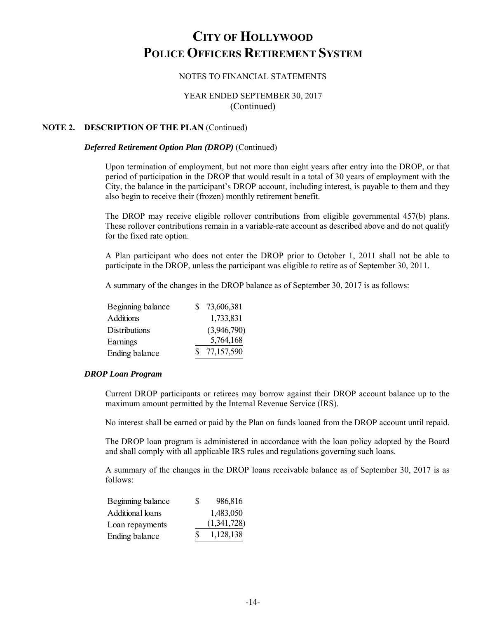### NOTES TO FINANCIAL STATEMENTS

### YEAR ENDED SEPTEMBER 30, 2017 (Continued)

#### **NOTE 2. DESCRIPTION OF THE PLAN** (Continued)

#### *Deferred Retirement Option Plan (DROP)* (Continued)

Upon termination of employment, but not more than eight years after entry into the DROP, or that period of participation in the DROP that would result in a total of 30 years of employment with the City, the balance in the participant's DROP account, including interest, is payable to them and they also begin to receive their (frozen) monthly retirement benefit.

The DROP may receive eligible rollover contributions from eligible governmental 457(b) plans. These rollover contributions remain in a variable-rate account as described above and do not qualify for the fixed rate option.

A Plan participant who does not enter the DROP prior to October 1, 2011 shall not be able to participate in the DROP, unless the participant was eligible to retire as of September 30, 2011.

A summary of the changes in the DROP balance as of September 30, 2017 is as follows:

| Beginning balance | 73,606,381  |
|-------------------|-------------|
| <b>Additions</b>  | 1,733,831   |
| Distributions     | (3,946,790) |
| Earnings          | 5,764,168   |
| Ending balance    | 77,157,590  |

#### *DROP Loan Program*

Current DROP participants or retirees may borrow against their DROP account balance up to the maximum amount permitted by the Internal Revenue Service (IRS).

No interest shall be earned or paid by the Plan on funds loaned from the DROP account until repaid.

The DROP loan program is administered in accordance with the loan policy adopted by the Board and shall comply with all applicable IRS rules and regulations governing such loans.

A summary of the changes in the DROP loans receivable balance as of September 30, 2017 is as follows:

| Beginning balance | S | 986,816     |
|-------------------|---|-------------|
| Additional loans  |   | 1,483,050   |
| Loan repayments   |   | (1,341,728) |
| Ending balance    | S | 1,128,138   |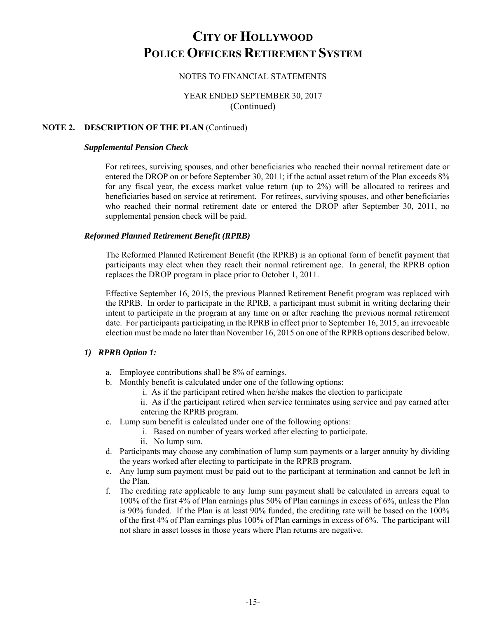### NOTES TO FINANCIAL STATEMENTS

### YEAR ENDED SEPTEMBER 30, 2017 (Continued)

#### **NOTE 2. DESCRIPTION OF THE PLAN** (Continued)

#### *Supplemental Pension Check*

For retirees, surviving spouses, and other beneficiaries who reached their normal retirement date or entered the DROP on or before September 30, 2011; if the actual asset return of the Plan exceeds 8% for any fiscal year, the excess market value return (up to 2%) will be allocated to retirees and beneficiaries based on service at retirement. For retirees, surviving spouses, and other beneficiaries who reached their normal retirement date or entered the DROP after September 30, 2011, no supplemental pension check will be paid.

#### *Reformed Planned Retirement Benefit (RPRB)*

The Reformed Planned Retirement Benefit (the RPRB) is an optional form of benefit payment that participants may elect when they reach their normal retirement age. In general, the RPRB option replaces the DROP program in place prior to October 1, 2011.

Effective September 16, 2015, the previous Planned Retirement Benefit program was replaced with the RPRB. In order to participate in the RPRB, a participant must submit in writing declaring their intent to participate in the program at any time on or after reaching the previous normal retirement date. For participants participating in the RPRB in effect prior to September 16, 2015, an irrevocable election must be made no later than November 16, 2015 on one of the RPRB options described below.

#### *1) RPRB Option 1:*

- a. Employee contributions shall be 8% of earnings.
- b. Monthly benefit is calculated under one of the following options:
	- i. As if the participant retired when he/she makes the election to participate
	- ii. As if the participant retired when service terminates using service and pay earned after entering the RPRB program.
- c. Lump sum benefit is calculated under one of the following options:
	- i. Based on number of years worked after electing to participate.
		- ii. No lump sum.
- d. Participants may choose any combination of lump sum payments or a larger annuity by dividing the years worked after electing to participate in the RPRB program.
- e. Any lump sum payment must be paid out to the participant at termination and cannot be left in the Plan.
- f. The crediting rate applicable to any lump sum payment shall be calculated in arrears equal to 100% of the first 4% of Plan earnings plus 50% of Plan earnings in excess of 6%, unless the Plan is 90% funded. If the Plan is at least 90% funded, the crediting rate will be based on the 100% of the first 4% of Plan earnings plus 100% of Plan earnings in excess of 6%. The participant will not share in asset losses in those years where Plan returns are negative.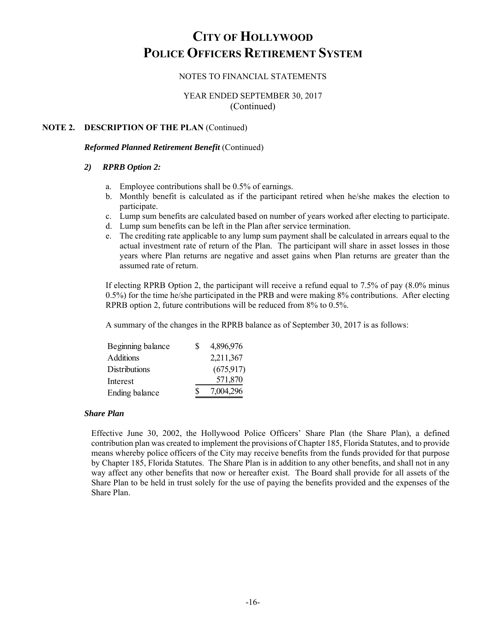### NOTES TO FINANCIAL STATEMENTS

### YEAR ENDED SEPTEMBER 30, 2017 (Continued)

#### **NOTE 2. DESCRIPTION OF THE PLAN** (Continued)

#### *Reformed Planned Retirement Benefit* (Continued)

#### *2) RPRB Option 2:*

- a. Employee contributions shall be 0.5% of earnings.
- b. Monthly benefit is calculated as if the participant retired when he/she makes the election to participate.
- c. Lump sum benefits are calculated based on number of years worked after electing to participate.
- d. Lump sum benefits can be left in the Plan after service termination.
- e. The crediting rate applicable to any lump sum payment shall be calculated in arrears equal to the actual investment rate of return of the Plan. The participant will share in asset losses in those years where Plan returns are negative and asset gains when Plan returns are greater than the assumed rate of return.

If electing RPRB Option 2, the participant will receive a refund equal to 7.5% of pay (8.0% minus 0.5%) for the time he/she participated in the PRB and were making 8% contributions. After electing RPRB option 2, future contributions will be reduced from 8% to 0.5%.

A summary of the changes in the RPRB balance as of September 30, 2017 is as follows:

| Beginning balance | S | 4,896,976  |
|-------------------|---|------------|
| Additions         |   | 2,211,367  |
| Distributions     |   | (675, 917) |
| Interest          |   | 571,870    |
| Ending balance    | S | 7,004,296  |
|                   |   |            |

#### *Share Plan*

Effective June 30, 2002, the Hollywood Police Officers' Share Plan (the Share Plan), a defined contribution plan was created to implement the provisions of Chapter 185, Florida Statutes, and to provide means whereby police officers of the City may receive benefits from the funds provided for that purpose by Chapter 185, Florida Statutes. The Share Plan is in addition to any other benefits, and shall not in any way affect any other benefits that now or hereafter exist. The Board shall provide for all assets of the Share Plan to be held in trust solely for the use of paying the benefits provided and the expenses of the Share Plan.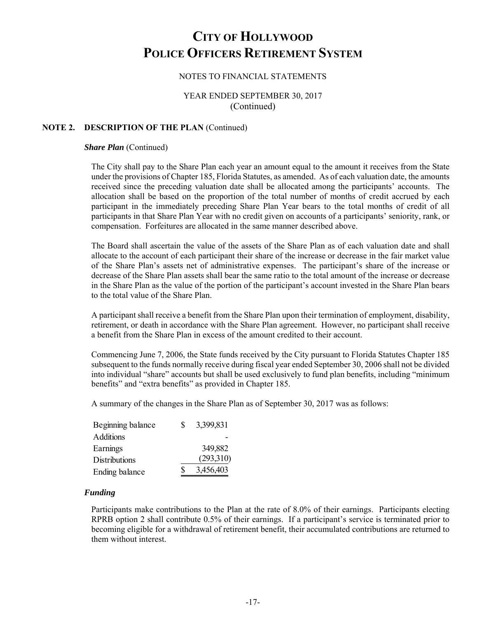### NOTES TO FINANCIAL STATEMENTS

### YEAR ENDED SEPTEMBER 30, 2017 (Continued)

#### **NOTE 2. DESCRIPTION OF THE PLAN** (Continued)

#### *Share Plan (Continued)*

The City shall pay to the Share Plan each year an amount equal to the amount it receives from the State under the provisions of Chapter 185, Florida Statutes, as amended. As of each valuation date, the amounts received since the preceding valuation date shall be allocated among the participants' accounts. The allocation shall be based on the proportion of the total number of months of credit accrued by each participant in the immediately preceding Share Plan Year bears to the total months of credit of all participants in that Share Plan Year with no credit given on accounts of a participants' seniority, rank, or compensation. Forfeitures are allocated in the same manner described above.

The Board shall ascertain the value of the assets of the Share Plan as of each valuation date and shall allocate to the account of each participant their share of the increase or decrease in the fair market value of the Share Plan's assets net of administrative expenses. The participant's share of the increase or decrease of the Share Plan assets shall bear the same ratio to the total amount of the increase or decrease in the Share Plan as the value of the portion of the participant's account invested in the Share Plan bears to the total value of the Share Plan.

A participant shall receive a benefit from the Share Plan upon their termination of employment, disability, retirement, or death in accordance with the Share Plan agreement. However, no participant shall receive a benefit from the Share Plan in excess of the amount credited to their account.

Commencing June 7, 2006, the State funds received by the City pursuant to Florida Statutes Chapter 185 subsequent to the funds normally receive during fiscal year ended September 30, 2006 shall not be divided into individual "share" accounts but shall be used exclusively to fund plan benefits, including "minimum benefits" and "extra benefits" as provided in Chapter 185.

A summary of the changes in the Share Plan as of September 30, 2017 was as follows:

| Beginning balance | S  | 3,399,831 |
|-------------------|----|-----------|
| Additions         |    |           |
| Earnings          |    | 349,882   |
| Distributions     |    | (293,310) |
| Ending balance    | \$ | 3,456,403 |

#### *Funding*

Participants make contributions to the Plan at the rate of 8.0% of their earnings. Participants electing RPRB option 2 shall contribute 0.5% of their earnings. If a participant's service is terminated prior to becoming eligible for a withdrawal of retirement benefit, their accumulated contributions are returned to them without interest.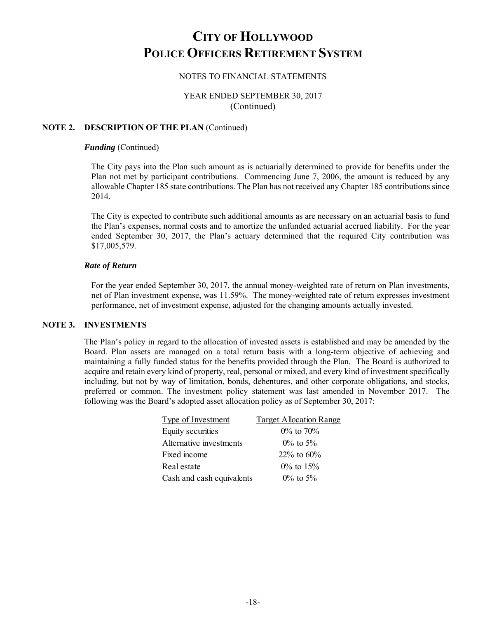### NOTES TO FINANCIAL STATEMENTS

### YEAR ENDED SEPTEMBER 30, 2017 (Continued)

#### **NOTE 2. DESCRIPTION OF THE PLAN** (Continued)

#### *Funding* (Continued)

The City pays into the Plan such amount as is actuarially determined to provide for benefits under the Plan not met by participant contributions. Commencing June 7, 2006, the amount is reduced by any allowable Chapter 185 state contributions. The Plan has not received any Chapter 185 contributions since 2014.

The City is expected to contribute such additional amounts as are necessary on an actuarial basis to fund the Plan's expenses, normal costs and to amortize the unfunded actuarial accrued liability. For the year ended September 30, 2017, the Plan's actuary determined that the required City contribution was \$17,005,579.

#### *Rate of Return*

For the year ended September 30, 2017, the annual money-weighted rate of return on Plan investments, net of Plan investment expense, was 11.59%. The money-weighted rate of return expresses investment performance, net of investment expense, adjusted for the changing amounts actually invested.

#### **NOTE 3. INVESTMENTS**

The Plan's policy in regard to the allocation of invested assets is established and may be amended by the Board. Plan assets are managed on a total return basis with a long-term objective of achieving and maintaining a fully funded status for the benefits provided through the Plan. The Board is authorized to acquire and retain every kind of property, real, personal or mixed, and every kind of investment specifically including, but not by way of limitation, bonds, debentures, and other corporate obligations, and stocks, preferred or common. The investment policy statement was last amended in November 2017. The following was the Board's adopted asset allocation policy as of September 30, 2017:

| <b>Type of Investment</b> | <b>Target Allocation Range</b> |
|---------------------------|--------------------------------|
| Equity securities         | $0\%$ to $70\%$                |
| Alternative investments   | $0\%$ to 5%                    |
| Fixed income              | 22% to $60%$                   |
| Real estate               | $0\%$ to 15%                   |
| Cash and cash equivalents | $0\%$ to 5%                    |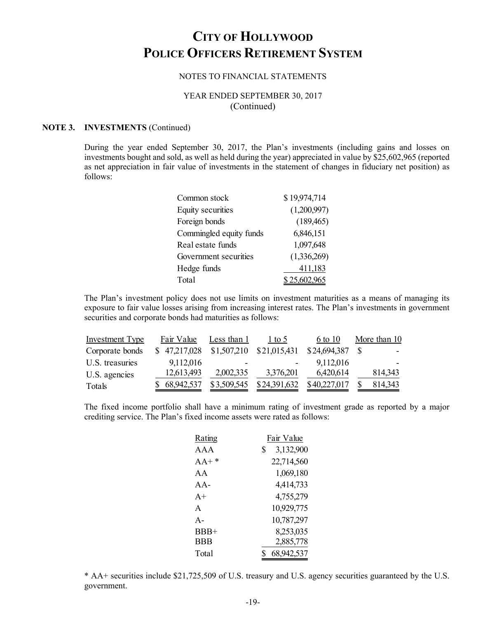#### NOTES TO FINANCIAL STATEMENTS

### YEAR ENDED SEPTEMBER 30, 2017 (Continued)

#### **NOTE 3. INVESTMENTS** (Continued)

During the year ended September 30, 2017, the Plan's investments (including gains and losses on investments bought and sold, as well as held during the year) appreciated in value by \$25,602,965 (reported as net appreciation in fair value of investments in the statement of changes in fiduciary net position) as follows:

| Common stock            | \$19,974,714 |
|-------------------------|--------------|
| Equity securities       | (1,200,997)  |
| Foreign bonds           | (189, 465)   |
| Commingled equity funds | 6,846,151    |
| Real estate funds       | 1,097,648    |
| Government securities   | (1,336,269)  |
| Hedge funds             | 411,183      |
| Total                   | \$25,602,965 |

The Plan's investment policy does not use limits on investment maturities as a means of managing its exposure to fair value losses arising from increasing interest rates. The Plan's investments in government securities and corporate bonds had maturities as follows:

| <b>Investment Type</b> | Fair Value   | Less than 1 | $1$ to 5     | 6 to 10      | More than 10 |
|------------------------|--------------|-------------|--------------|--------------|--------------|
| Corporate bonds        | \$47,217,028 | \$1,507,210 | \$21,015,431 | \$24,694,387 |              |
| U.S. treasuries        | 9,112,016    | -           |              | 9,112,016    |              |
| U.S. agencies          | 12,613,493   | 2,002,335   | 3,376,201    | 6,420,614    | 814,343      |
| Totals                 | \$68,942,537 | \$3,509,545 | \$24,391,632 | \$40,227,017 | 814,343      |

The fixed income portfolio shall have a minimum rating of investment grade as reported by a major crediting service. The Plan's fixed income assets were rated as follows:

| Rating       | Fair Value      |
|--------------|-----------------|
| AAA          | 3,132,900<br>\$ |
| $AA+*$       | 22,714,560      |
| AA           | 1,069,180       |
| $AA -$       | 4,414,733       |
| $A+$         | 4,755,279       |
| $\mathsf{A}$ | 10,929,775      |
| $A -$        | 10,787,297      |
| BBB+         | 8,253,035       |
| <b>BBB</b>   | 2,885,778       |
| Total        | 68,942,537      |

\* AA+ securities include \$21,725,509 of U.S. treasury and U.S. agency securities guaranteed by the U.S. government.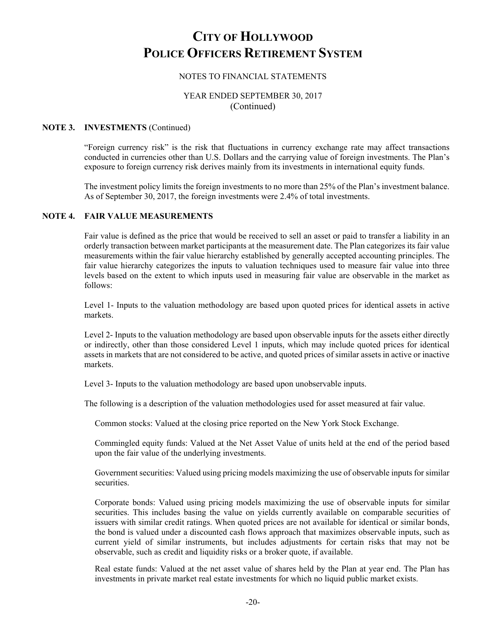### NOTES TO FINANCIAL STATEMENTS

### YEAR ENDED SEPTEMBER 30, 2017 (Continued)

#### **NOTE 3. INVESTMENTS** (Continued)

"Foreign currency risk" is the risk that fluctuations in currency exchange rate may affect transactions conducted in currencies other than U.S. Dollars and the carrying value of foreign investments. The Plan's exposure to foreign currency risk derives mainly from its investments in international equity funds.

The investment policy limits the foreign investments to no more than 25% of the Plan's investment balance. As of September 30, 2017, the foreign investments were 2.4% of total investments.

#### **NOTE 4. FAIR VALUE MEASUREMENTS**

Fair value is defined as the price that would be received to sell an asset or paid to transfer a liability in an orderly transaction between market participants at the measurement date. The Plan categorizes its fair value measurements within the fair value hierarchy established by generally accepted accounting principles. The fair value hierarchy categorizes the inputs to valuation techniques used to measure fair value into three levels based on the extent to which inputs used in measuring fair value are observable in the market as follows:

Level 1- Inputs to the valuation methodology are based upon quoted prices for identical assets in active markets.

Level 2- Inputs to the valuation methodology are based upon observable inputs for the assets either directly or indirectly, other than those considered Level 1 inputs, which may include quoted prices for identical assets in markets that are not considered to be active, and quoted prices of similar assets in active or inactive markets.

Level 3- Inputs to the valuation methodology are based upon unobservable inputs.

The following is a description of the valuation methodologies used for asset measured at fair value.

Common stocks: Valued at the closing price reported on the New York Stock Exchange.

Commingled equity funds: Valued at the Net Asset Value of units held at the end of the period based upon the fair value of the underlying investments.

Government securities: Valued using pricing models maximizing the use of observable inputs for similar securities.

Corporate bonds: Valued using pricing models maximizing the use of observable inputs for similar securities. This includes basing the value on yields currently available on comparable securities of issuers with similar credit ratings. When quoted prices are not available for identical or similar bonds, the bond is valued under a discounted cash flows approach that maximizes observable inputs, such as current yield of similar instruments, but includes adjustments for certain risks that may not be observable, such as credit and liquidity risks or a broker quote, if available.

Real estate funds: Valued at the net asset value of shares held by the Plan at year end. The Plan has investments in private market real estate investments for which no liquid public market exists.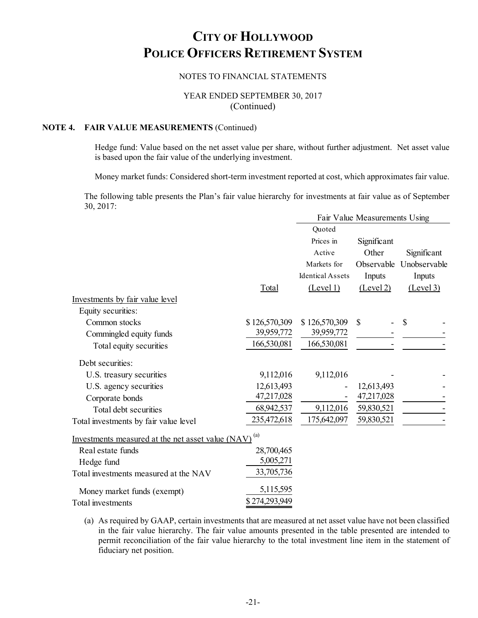### NOTES TO FINANCIAL STATEMENTS

### YEAR ENDED SEPTEMBER 30, 2017 (Continued)

## **NOTE 4. FAIR VALUE MEASUREMENTS** (Continued)

Hedge fund: Value based on the net asset value per share, without further adjustment. Net asset value is based upon the fair value of the underlying investment.

Money market funds: Considered short-term investment reported at cost, which approximates fair value.

The following table presents the Plan's fair value hierarchy for investments at fair value as of September 30, 2017:

|                                                   |               |                         | Fair Value Measurements Using |              |
|---------------------------------------------------|---------------|-------------------------|-------------------------------|--------------|
|                                                   |               | Quoted                  |                               |              |
|                                                   |               | Prices in               | Significant                   |              |
|                                                   |               | Active                  | Other                         | Significant  |
|                                                   |               | Markets for             | Observable                    | Unobservable |
|                                                   |               | <b>Identical Assets</b> | Inputs                        | Inputs       |
|                                                   | Total         | (Level 1)               | (Level 2)                     | (Level 3)    |
| Investments by fair value level                   |               |                         |                               |              |
| Equity securities:                                |               |                         |                               |              |
| Common stocks                                     | \$126,570,309 | \$126,570,309           | \$                            | \$           |
| Commingled equity funds                           | 39,959,772    | 39,959,772              |                               |              |
| Total equity securities                           | 166,530,081   | 166,530,081             |                               |              |
| Debt securities:                                  |               |                         |                               |              |
| U.S. treasury securities                          | 9,112,016     | 9,112,016               |                               |              |
| U.S. agency securities                            | 12,613,493    |                         | 12,613,493                    |              |
| Corporate bonds                                   | 47,217,028    |                         | 47,217,028                    |              |
| Total debt securities                             | 68,942,537    | 9,112,016               | 59,830,521                    |              |
| Total investments by fair value level             | 235,472,618   | 175,642,097             | 59,830,521                    |              |
| Investments measured at the net asset value (NAV) | (a)           |                         |                               |              |
| Real estate funds                                 | 28,700,465    |                         |                               |              |
| Hedge fund                                        | 5,005,271     |                         |                               |              |
| Total investments measured at the NAV             | 33,705,736    |                         |                               |              |
| Money market funds (exempt)                       | 5,115,595     |                         |                               |              |
| Total investments                                 | \$274,293,949 |                         |                               |              |

(a) As required by GAAP, certain investments that are measured at net asset value have not been classified in the fair value hierarchy. The fair value amounts presented in the table presented are intended to permit reconciliation of the fair value hierarchy to the total investment line item in the statement of fiduciary net position.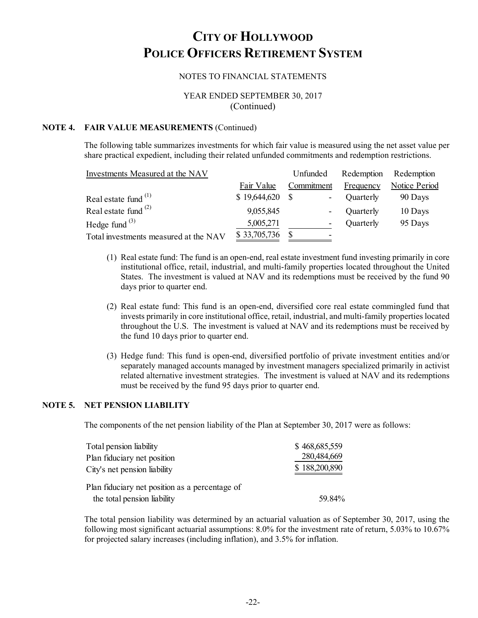### NOTES TO FINANCIAL STATEMENTS

### YEAR ENDED SEPTEMBER 30, 2017 (Continued)

#### **NOTE 4. FAIR VALUE MEASUREMENTS** (Continued)

The following table summarizes investments for which fair value is measured using the net asset value per share practical expedient, including their related unfunded commitments and redemption restrictions.

| Investments Measured at the NAV       |              | Unfunded                        | Redemption | Redemption           |
|---------------------------------------|--------------|---------------------------------|------------|----------------------|
|                                       | Fair Value   | Commitment                      | Frequency  | <b>Notice Period</b> |
| Real estate fund $(1)$                | \$19,644,620 | - S<br>$\overline{\phantom{a}}$ | Quarterly  | 90 Days              |
| Real estate fund $(2)$                | 9,055,845    | $\overline{\phantom{0}}$        | Quarterly  | 10 Days              |
| Hedge fund $(3)$                      | 5,005,271    | -                               | Quarterly  | 95 Days              |
| Total investments measured at the NAV | \$33,705,736 | -                               |            |                      |

- (1) Real estate fund: The fund is an open-end, real estate investment fund investing primarily in core institutional office, retail, industrial, and multi-family properties located throughout the United States. The investment is valued at NAV and its redemptions must be received by the fund 90 days prior to quarter end.
- (2) Real estate fund: This fund is an open-end, diversified core real estate commingled fund that invests primarily in core institutional office, retail, industrial, and multi-family properties located throughout the U.S. The investment is valued at NAV and its redemptions must be received by the fund 10 days prior to quarter end.
- (3) Hedge fund: This fund is open-end, diversified portfolio of private investment entities and/or separately managed accounts managed by investment managers specialized primarily in activist related alternative investment strategies. The investment is valued at NAV and its redemptions must be received by the fund 95 days prior to quarter end.

#### **NOTE 5. NET PENSION LIABILITY**

The components of the net pension liability of the Plan at September 30, 2017 were as follows:

| Total pension liability                        | \$468,685,559 |
|------------------------------------------------|---------------|
| Plan fiduciary net position                    | 280,484,669   |
| City's net pension liability                   | \$188,200,890 |
| Plan fiduciary net position as a percentage of |               |
| the total pension liability                    | 59.84%        |

The total pension liability was determined by an actuarial valuation as of September 30, 2017, using the following most significant actuarial assumptions: 8.0% for the investment rate of return, 5.03% to 10.67% for projected salary increases (including inflation), and 3.5% for inflation.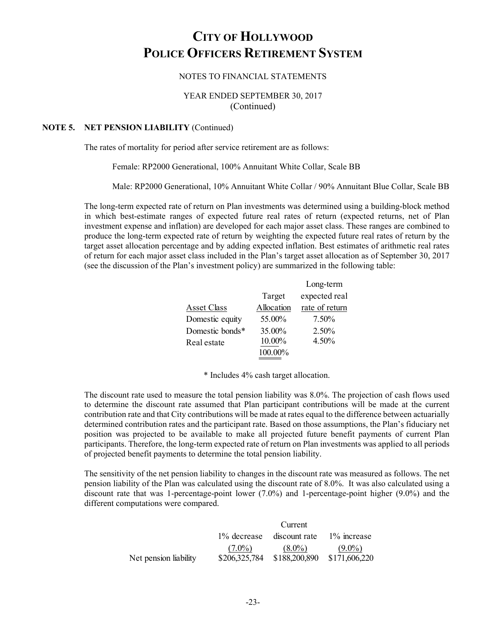#### NOTES TO FINANCIAL STATEMENTS

### YEAR ENDED SEPTEMBER 30, 2017 (Continued)

#### **NOTE 5. NET PENSION LIABILITY** (Continued)

The rates of mortality for period after service retirement are as follows:

Female: RP2000 Generational, 100% Annuitant White Collar, Scale BB

Male: RP2000 Generational, 10% Annuitant White Collar / 90% Annuitant Blue Collar, Scale BB

The long-term expected rate of return on Plan investments was determined using a building-block method in which best-estimate ranges of expected future real rates of return (expected returns, net of Plan investment expense and inflation) are developed for each major asset class. These ranges are combined to produce the long-term expected rate of return by weighting the expected future real rates of return by the target asset allocation percentage and by adding expected inflation. Best estimates of arithmetic real rates of return for each major asset class included in the Plan's target asset allocation as of September 30, 2017 (see the discussion of the Plan's investment policy) are summarized in the following table:

|                 |            | Long-term      |
|-----------------|------------|----------------|
|                 | Target     | expected real  |
| Asset Class     | Allocation | rate of return |
| Domestic equity | 55.00%     | 7.50%          |
| Domestic bonds* | 35.00%     | 2.50%          |
| Real estate     | 10.00%     | 4.50%          |
|                 | 100.00%    |                |

\* Includes 4% cash target allocation.

The discount rate used to measure the total pension liability was 8.0%. The projection of cash flows used to determine the discount rate assumed that Plan participant contributions will be made at the current contribution rate and that City contributions will be made at rates equal to the difference between actuarially determined contribution rates and the participant rate. Based on those assumptions, the Plan's fiduciary net position was projected to be available to make all projected future benefit payments of current Plan participants. Therefore, the long-term expected rate of return on Plan investments was applied to all periods of projected benefit payments to determine the total pension liability.

The sensitivity of the net pension liability to changes in the discount rate was measured as follows. The net pension liability of the Plan was calculated using the discount rate of 8.0%. It was also calculated using a discount rate that was 1-percentage-point lower (7.0%) and 1-percentage-point higher (9.0%) and the different computations were compared.

|                       |               | Current                                     |               |
|-----------------------|---------------|---------------------------------------------|---------------|
|                       |               | $1\%$ decrease discount rate $1\%$ increase |               |
|                       | $(7.0\%)$     | $(8.0\%)$                                   | $(9.0\%)$     |
| Net pension liability | \$206,325,784 | \$188,200,890                               | \$171,606,220 |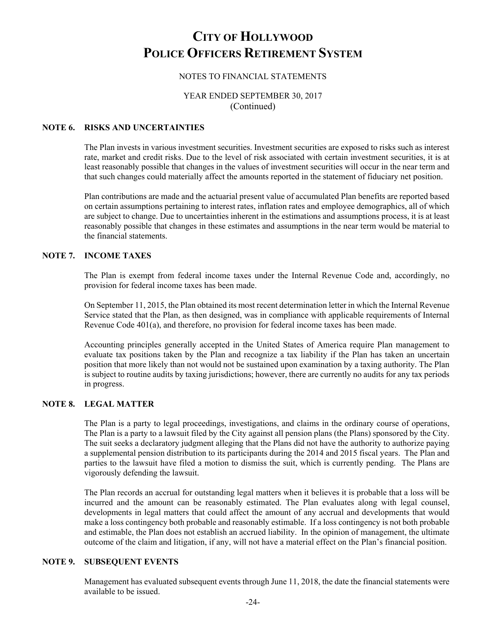### NOTES TO FINANCIAL STATEMENTS

### YEAR ENDED SEPTEMBER 30, 2017 (Continued)

#### **NOTE 6. RISKS AND UNCERTAINTIES**

The Plan invests in various investment securities. Investment securities are exposed to risks such as interest rate, market and credit risks. Due to the level of risk associated with certain investment securities, it is at least reasonably possible that changes in the values of investment securities will occur in the near term and that such changes could materially affect the amounts reported in the statement of fiduciary net position.

Plan contributions are made and the actuarial present value of accumulated Plan benefits are reported based on certain assumptions pertaining to interest rates, inflation rates and employee demographics, all of which are subject to change. Due to uncertainties inherent in the estimations and assumptions process, it is at least reasonably possible that changes in these estimates and assumptions in the near term would be material to the financial statements.

#### **NOTE 7. INCOME TAXES**

The Plan is exempt from federal income taxes under the Internal Revenue Code and, accordingly, no provision for federal income taxes has been made.

On September 11, 2015, the Plan obtained its most recent determination letter in which the Internal Revenue Service stated that the Plan, as then designed, was in compliance with applicable requirements of Internal Revenue Code 401(a), and therefore, no provision for federal income taxes has been made.

Accounting principles generally accepted in the United States of America require Plan management to evaluate tax positions taken by the Plan and recognize a tax liability if the Plan has taken an uncertain position that more likely than not would not be sustained upon examination by a taxing authority. The Plan is subject to routine audits by taxing jurisdictions; however, there are currently no audits for any tax periods in progress.

#### **NOTE 8. LEGAL MATTER**

The Plan is a party to legal proceedings, investigations, and claims in the ordinary course of operations, The Plan is a party to a lawsuit filed by the City against all pension plans (the Plans) sponsored by the City. The suit seeks a declaratory judgment alleging that the Plans did not have the authority to authorize paying a supplemental pension distribution to its participants during the 2014 and 2015 fiscal years. The Plan and parties to the lawsuit have filed a motion to dismiss the suit, which is currently pending. The Plans are vigorously defending the lawsuit.

The Plan records an accrual for outstanding legal matters when it believes it is probable that a loss will be incurred and the amount can be reasonably estimated. The Plan evaluates along with legal counsel, developments in legal matters that could affect the amount of any accrual and developments that would make a loss contingency both probable and reasonably estimable. If a loss contingency is not both probable and estimable, the Plan does not establish an accrued liability. In the opinion of management, the ultimate outcome of the claim and litigation, if any, will not have a material effect on the Plan's financial position.

#### **NOTE 9. SUBSEQUENT EVENTS**

Management has evaluated subsequent events through June 11, 2018, the date the financial statements were available to be issued.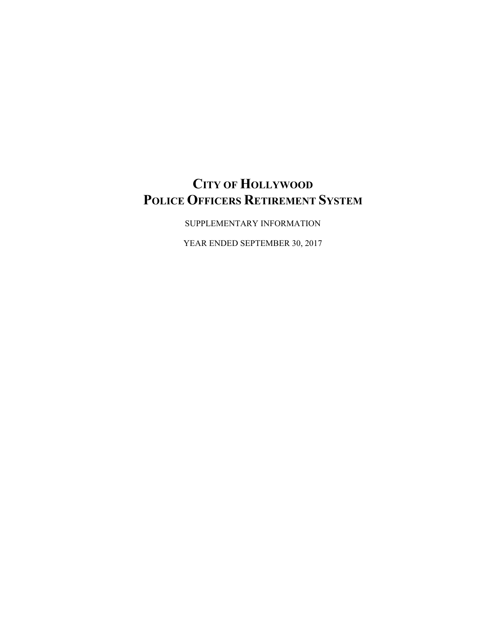SUPPLEMENTARY INFORMATION

YEAR ENDED SEPTEMBER 30, 2017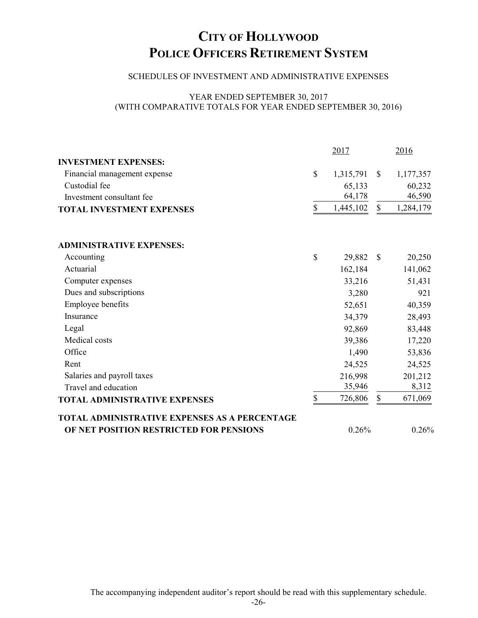### SCHEDULES OF INVESTMENT AND ADMINISTRATIVE EXPENSES

### YEAR ENDED SEPTEMBER 30, 2017 (WITH COMPARATIVE TOTALS FOR YEAR ENDED SEPTEMBER 30, 2016)

|                                                      |              | 2017      |              | 2016      |
|------------------------------------------------------|--------------|-----------|--------------|-----------|
| <b>INVESTMENT EXPENSES:</b>                          |              |           |              |           |
| Financial management expense                         | $\mathbf S$  | 1,315,791 | $\mathbb{S}$ | 1,177,357 |
| Custodial fee                                        |              | 65,133    |              | 60,232    |
| Investment consultant fee                            |              | 64,178    |              | 46,590    |
| <b>TOTAL INVESTMENT EXPENSES</b>                     | \$           | 1,445,102 | $\mathbb{S}$ | 1,284,179 |
| <b>ADMINISTRATIVE EXPENSES:</b>                      |              |           |              |           |
| Accounting                                           | $\mathbb{S}$ | 29,882    | $\mathbb{S}$ | 20,250    |
| Actuarial                                            |              | 162,184   |              | 141,062   |
| Computer expenses                                    |              | 33,216    |              | 51,431    |
| Dues and subscriptions                               |              | 3,280     |              | 921       |
| Employee benefits                                    |              | 52,651    |              | 40,359    |
| Insurance                                            |              | 34,379    |              | 28,493    |
| Legal                                                |              | 92,869    |              | 83,448    |
| Medical costs                                        |              | 39,386    |              | 17,220    |
| Office                                               |              | 1,490     |              | 53,836    |
| Rent                                                 |              | 24,525    |              | 24,525    |
| Salaries and payroll taxes                           |              | 216,998   |              | 201,212   |
| Travel and education                                 |              | 35,946    |              | 8,312     |
| <b>TOTAL ADMINISTRATIVE EXPENSES</b>                 | \$           | 726,806   | \$           | 671,069   |
| <b>TOTAL ADMINISTRATIVE EXPENSES AS A PERCENTAGE</b> |              |           |              |           |
| OF NET POSITION RESTRICTED FOR PENSIONS              |              | 0.26%     |              | 0.26%     |

The accompanying independent auditor's report should be read with this supplementary schedule.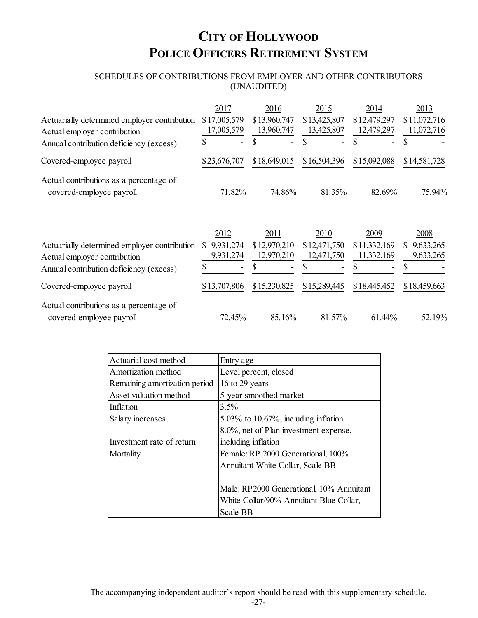## SCHEDULES OF CONTRIBUTIONS FROM EMPLOYER AND OTHER CONTRIBUTORS (UNAUDITED)

|                                                                              | 2017                         | 2016                       | 2015                       | 2014                             | 2013                                   |
|------------------------------------------------------------------------------|------------------------------|----------------------------|----------------------------|----------------------------------|----------------------------------------|
| Actuarially determined employer contribution<br>Actual employer contribution | \$17,005,579<br>17,005,579   | \$13,960,747<br>13,960,747 | \$13,425,807<br>13,425,807 | \$12,479,297<br>12,479,297<br>\$ | \$11,072,716<br>11,072,716             |
| Annual contribution deficiency (excess)                                      |                              |                            |                            |                                  |                                        |
| Covered-employee payroll                                                     | \$23,676,707                 | \$18,649,015               | \$16,504,396               | \$15,092,088                     | \$14,581,728                           |
| Actual contributions as a percentage of<br>covered-employee payroll          | 71.82%                       | 74.86%                     | 81.35%                     | 82.69%                           | 75.94%                                 |
|                                                                              | 2012                         | 2011                       | 2010                       | 2009                             | 2008                                   |
| Actuarially determined employer contribution<br>Actual employer contribution | 9,931,274<br>S.<br>9,931,274 | \$12,970,210<br>12,970,210 | \$12,471,750<br>12,471,750 | \$11,332,169<br>11,332,169       | 9,633,265<br><sup>S</sup><br>9,633,265 |
| Annual contribution deficiency (excess)                                      |                              |                            |                            |                                  |                                        |
| Covered-employee payroll                                                     | \$13,707,806                 | \$15,230,825               | \$15,289,445               | \$18,445,452                     | \$18,459,663                           |
| Actual contributions as a percentage of<br>covered-employee payroll          | 72.45%                       | 85.16%                     | 81.57%                     | 61.44%                           | 52.19%                                 |
|                                                                              |                              |                            |                            |                                  |                                        |

| Actuarial cost method         | Entry age                                |
|-------------------------------|------------------------------------------|
| Amortization method           | Level percent, closed                    |
| Remaining amortization period | 16 to 29 years                           |
| Asset valuation method        | 5-year smoothed market                   |
| Inflation                     | 3.5%                                     |
| Salary increases              | $5.03\%$ to 10.67%, including inflation  |
|                               | 8.0%, net of Plan investment expense,    |
| Investment rate of return     | including inflation                      |
| Mortality                     | Female: RP 2000 Generational, 100%       |
|                               | Annuitant White Collar, Scale BB         |
|                               |                                          |
|                               | Male: RP2000 Generational, 10% Annuitant |
|                               | White Collar/90% Annuitant Blue Collar,  |
|                               | Scale BB                                 |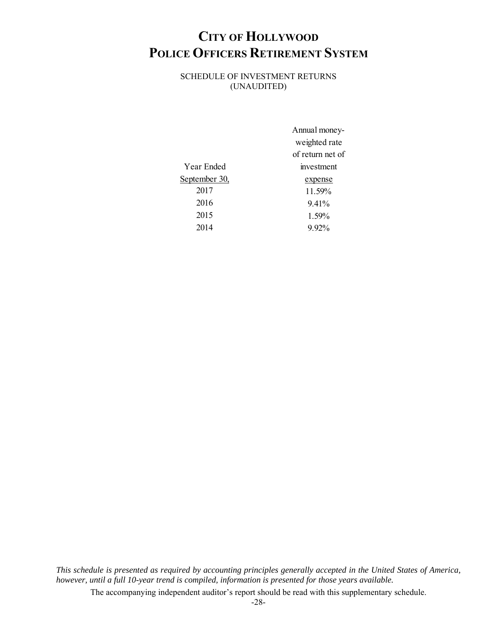SCHEDULE OF INVESTMENT RETURNS (UNAUDITED)

|               | Annual money-    |
|---------------|------------------|
|               | weighted rate    |
|               | of return net of |
| Year Ended    | investment       |
| September 30, | expense          |
| 2017          | 11.59%           |
| 2016          | 9.41%            |
| 2015          | 1.59%            |
| 2014          | $9.92\%$         |
|               |                  |

*This schedule is presented as required by accounting principles generally accepted in the United States of America, however, until a full 10-year trend is compiled, information is presented for those years available.* 

The accompanying independent auditor's report should be read with this supplementary schedule.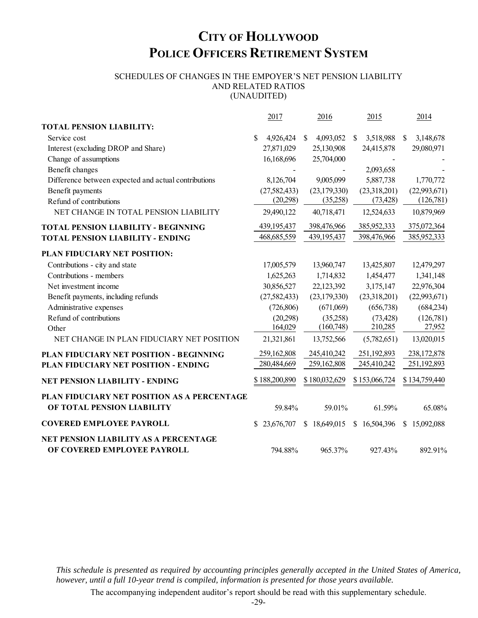#### SCHEDULES OF CHANGES IN THE EMPOYER'S NET PENSION LIABILITY AND RELATED RATIOS (UNAUDITED)

2017 2016 2015 2014 **TOTAL PENSION LIABILITY:** Service cost  $$ 4,926,424 \quad $ 4,093,052 \quad $ 3,518,988 \quad $ 3,148,678$ Interest (excluding DROP and Share) 27,871,029 25,130,908 24,415,878 29,080,971 Change of assumptions 16,168,696 25,704,000 Benefit changes **-** 2,093,658 Difference between expected and actual contributions 8,126,704 9,005,099 5,887,738 1,770,772 Benefit payments (27,582,433) (23,179,330) (23,318,201) (22,993,671) Refund of contributions (20,298) (35,258) (73,428) (126,781) NET CHANGE IN TOTAL PENSION LIABILITY 29,490,122 40,718,471 12,524,633 10,879,969 **TOTAL PENSION LIABILITY - BEGINNING** 439,195,437 398,476,966 385,952,333 375,072,364 **TOTAL PENSION LIABILITY - ENDING** 468,685,559 439,195,437 398,476,966 385,952,333 **PLAN FIDUCIARY NET POSITION:** Contributions - city and state 17,005,579 13,960,747 13,425,807 12,479,297 Contributions - members 1,625,263 1,714,832 1,454,477 1,341,148 Net investment income 30,856,527 22, 123,392 3, 175, 147 22, 976,304 Benefit payments, including refunds (27,582,433) (23,179,330) (23,318,201) (22,993,671) Administrative expenses (726,806) (671,069) (656,738) (684,234) Refund of contributions (20,298) (35,258) (73,428) (126,781) Other (160,748) 164,029 (160,748) 210,285 27,952 NET CHANGE IN PLAN FIDUCIARY NET POSITION 21,321,861 13,752,566 (5,782,651) 13,020,015 **PLAN FIDUCIARY NET POSITION - BEGINNING** 259,162,808 245,410,242 251,192,893 238,172,878 **PLAN FIDUCIARY NET POSITION - ENDING** 280,484,669 259,162,808 245,410,242 251,192,893 **NET PENSION LIABILITY - ENDING** \$188,200,890 \$180,032,629 \$153,066,724 \$134,759,440 **PLAN FIDUCIARY NET POSITION AS A PERCENTAGE OF TOTAL PENSION LIABILITY** 59.84% 59.01% 61.59% 65.08% **COVERED EMPLOYEE PAYROLL** \$ 23,676,707 \$ 18,649,015 \$ 16,504,396 \$ 15,092,088 **NET PENSION LIABILITY AS A PERCENTAGE OF COVERED EMPLOYEE PAYROLL** 794.88% 965.37% 927.43% 892.91%

*This schedule is presented as required by accounting principles generally accepted in the United States of America, however, until a full 10-year trend is compiled, information is presented for those years available.*

The accompanying independent auditor's report should be read with this supplementary schedule.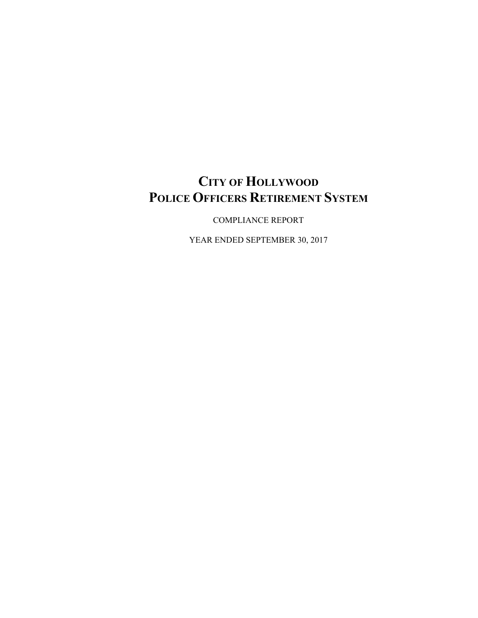COMPLIANCE REPORT

YEAR ENDED SEPTEMBER 30, 2017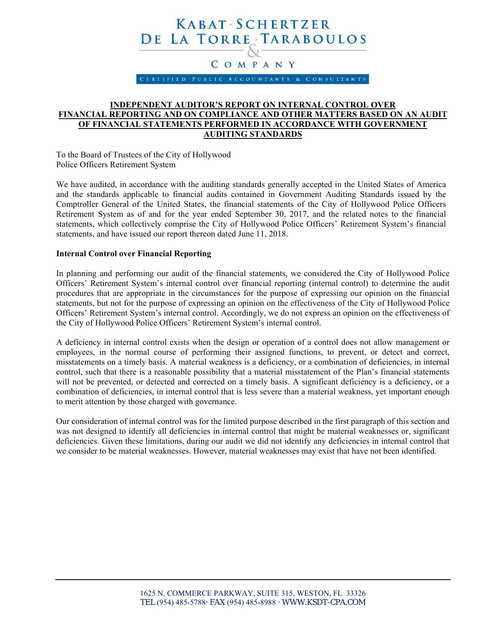## KABAT SCHERTZER DE LA TORRE TARABOULOS

## COMPANY

CERTIFIED PUBLIC ACCOUNTANTS & CONSULTANTS

### **INDEPENDENT AUDITOR'S REPORT ON INTERNAL CONTROL OVER FINANCIAL REPORTING AND ON COMPLIANCE AND OTHER MATTERS BASED ON AN AUDIT OF FINANCIAL STATEMENTS PERFORMED IN ACCORDANCE WITH GOVERNMENT AUDITING STANDARDS**

To the Board of Trustees of the City of Hollywood Police Officers Retirement System

We have audited, in accordance with the auditing standards generally accepted in the United States of America and the standards applicable to financial audits contained in Government Auditing Standards issued by the Comptroller General of the United States, the financial statements of the City of Hollywood Police Officers Retirement System as of and for the year ended September 30, 2017, and the related notes to the financial statements, which collectively comprise the City of Hollywood Police Officers' Retirement System's financial statements, and have issued our report thereon dated June 11, 2018.

#### **Internal Control over Financial Reporting**

In planning and performing our audit of the financial statements, we considered the City of Hollywood Police Officers' Retirement System's internal control over financial reporting (internal control) to determine the audit procedures that are appropriate in the circumstances for the purpose of expressing our opinion on the financial statements, but not for the purpose of expressing an opinion on the effectiveness of the City of Hollywood Police Officers' Retirement System's internal control. Accordingly, we do not express an opinion on the effectiveness of the City of Hollywood Police Officers' Retirement System's internal control.

A deficiency in internal control exists when the design or operation of a control does not allow management or employees, in the normal course of performing their assigned functions, to prevent, or detect and correct, misstatements on a timely basis. A material weakness is a deficiency, or a combination of deficiencies, in internal control, such that there is a reasonable possibility that a material misstatement of the Plan's financial statements will not be prevented, or detected and corrected on a timely basis. A significant deficiency is a deficiency, or a combination of deficiencies, in internal control that is less severe than a material weakness, yet important enough to merit attention by those charged with governance.

Our consideration of internal control was for the limited purpose described in the first paragraph of this section and was not designed to identify all deficiencies in internal control that might be material weaknesses or, significant deficiencies. Given these limitations, during our audit we did not identify any deficiencies in internal control that we consider to be material weaknesses. However, material weaknesses may exist that have not been identified.